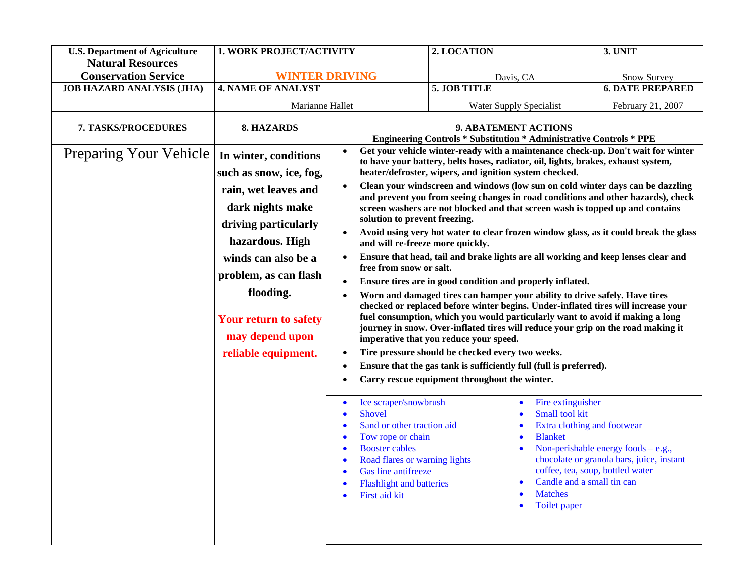| <b>U.S. Department of Agriculture</b><br><b>Natural Resources</b>                   | 1. WORK PROJECT/ACTIVITY                                                                                                                                                                                                                                                                     |                                                                                                                                                                                                                                                                                                                                                                                                                                                                                                                                                                                                                                                                                                                                                                                                                                                                                                                                                                                                                                                                                                                                                                                                                                                                                                                                                                                                                                                                                                                                                                                                                                                                                                                                                                                                                                                                                                                                                                                                                                                                            | 2. LOCATION  |                                                                                  | 3. UNIT                 |
|-------------------------------------------------------------------------------------|----------------------------------------------------------------------------------------------------------------------------------------------------------------------------------------------------------------------------------------------------------------------------------------------|----------------------------------------------------------------------------------------------------------------------------------------------------------------------------------------------------------------------------------------------------------------------------------------------------------------------------------------------------------------------------------------------------------------------------------------------------------------------------------------------------------------------------------------------------------------------------------------------------------------------------------------------------------------------------------------------------------------------------------------------------------------------------------------------------------------------------------------------------------------------------------------------------------------------------------------------------------------------------------------------------------------------------------------------------------------------------------------------------------------------------------------------------------------------------------------------------------------------------------------------------------------------------------------------------------------------------------------------------------------------------------------------------------------------------------------------------------------------------------------------------------------------------------------------------------------------------------------------------------------------------------------------------------------------------------------------------------------------------------------------------------------------------------------------------------------------------------------------------------------------------------------------------------------------------------------------------------------------------------------------------------------------------------------------------------------------------|--------------|----------------------------------------------------------------------------------|-------------------------|
|                                                                                     | <b>WINTER DRIVING</b>                                                                                                                                                                                                                                                                        |                                                                                                                                                                                                                                                                                                                                                                                                                                                                                                                                                                                                                                                                                                                                                                                                                                                                                                                                                                                                                                                                                                                                                                                                                                                                                                                                                                                                                                                                                                                                                                                                                                                                                                                                                                                                                                                                                                                                                                                                                                                                            |              |                                                                                  |                         |
| <b>JOB HAZARD ANALYSIS (JHA)</b>                                                    | <b>4. NAME OF ANALYST</b>                                                                                                                                                                                                                                                                    |                                                                                                                                                                                                                                                                                                                                                                                                                                                                                                                                                                                                                                                                                                                                                                                                                                                                                                                                                                                                                                                                                                                                                                                                                                                                                                                                                                                                                                                                                                                                                                                                                                                                                                                                                                                                                                                                                                                                                                                                                                                                            | 5. JOB TITLE |                                                                                  | <b>6. DATE PREPARED</b> |
|                                                                                     | Marianne Hallet                                                                                                                                                                                                                                                                              |                                                                                                                                                                                                                                                                                                                                                                                                                                                                                                                                                                                                                                                                                                                                                                                                                                                                                                                                                                                                                                                                                                                                                                                                                                                                                                                                                                                                                                                                                                                                                                                                                                                                                                                                                                                                                                                                                                                                                                                                                                                                            |              |                                                                                  |                         |
| <b>Conservation Service</b><br>7. TASKS/PROCEDURES<br><b>Preparing Your Vehicle</b> | 8. HAZARDS<br>In winter, conditions<br>such as snow, ice, fog,<br>rain, wet leaves and<br>dark nights make<br>driving particularly<br>hazardous. High<br>winds can also be a<br>problem, as can flash<br>flooding.<br><b>Your return to safety</b><br>may depend upon<br>reliable equipment. | Davis, CA<br><b>Water Supply Specialist</b><br>9. ABATEMENT ACTIONS<br><b>Engineering Controls * Substitution * Administrative Controls * PPE</b><br>Get your vehicle winter-ready with a maintenance check-up. Don't wait for winter<br>$\bullet$<br>to have your battery, belts hoses, radiator, oil, lights, brakes, exhaust system,<br>heater/defroster, wipers, and ignition system checked.<br>Clean your windscreen and windows (low sun on cold winter days can be dazzling<br>$\bullet$<br>and prevent you from seeing changes in road conditions and other hazards), check<br>screen washers are not blocked and that screen wash is topped up and contains<br>solution to prevent freezing.<br>Avoid using very hot water to clear frozen window glass, as it could break the glass<br>$\bullet$<br>and will re-freeze more quickly.<br>Ensure that head, tail and brake lights are all working and keep lenses clear and<br>$\bullet$<br>free from snow or salt.<br>Ensure tires are in good condition and properly inflated.<br>$\bullet$<br>Worn and damaged tires can hamper your ability to drive safely. Have tires<br>checked or replaced before winter begins. Under-inflated tires will increase your<br>fuel consumption, which you would particularly want to avoid if making a long<br>journey in snow. Over-inflated tires will reduce your grip on the road making it<br>imperative that you reduce your speed.<br>Tire pressure should be checked every two weeks.<br>$\bullet$<br>Ensure that the gas tank is sufficiently full (full is preferred).<br>$\bullet$<br>Carry rescue equipment throughout the winter.<br>$\bullet$<br>Fire extinguisher<br>Ice scraper/snowbrush<br>$\bullet$<br>Small tool kit<br>Shovel<br>$\bullet$<br>Sand or other traction aid<br>Extra clothing and footwear<br>$\bullet$<br>$\bullet$<br>Tow rope or chain<br><b>Blanket</b><br>$\bullet$<br>۰<br><b>Booster cables</b><br>Non-perishable energy foods $-e.g.,$<br>chocolate or granola bars, juice, instant<br>Road flares or warning lights<br>$\bullet$ |              | Snow Survey<br>February 21, 2007                                                 |                         |
|                                                                                     |                                                                                                                                                                                                                                                                                              | Gas line antifreeze<br><b>Flashlight and batteries</b><br>$\bullet$<br>First aid kit<br>$\bullet$                                                                                                                                                                                                                                                                                                                                                                                                                                                                                                                                                                                                                                                                                                                                                                                                                                                                                                                                                                                                                                                                                                                                                                                                                                                                                                                                                                                                                                                                                                                                                                                                                                                                                                                                                                                                                                                                                                                                                                          |              | coffee, tea, soup, bottled water<br>Candle and a small tin can<br><b>Matches</b> |                         |
|                                                                                     |                                                                                                                                                                                                                                                                                              |                                                                                                                                                                                                                                                                                                                                                                                                                                                                                                                                                                                                                                                                                                                                                                                                                                                                                                                                                                                                                                                                                                                                                                                                                                                                                                                                                                                                                                                                                                                                                                                                                                                                                                                                                                                                                                                                                                                                                                                                                                                                            |              | Toilet paper<br>$\bullet$                                                        |                         |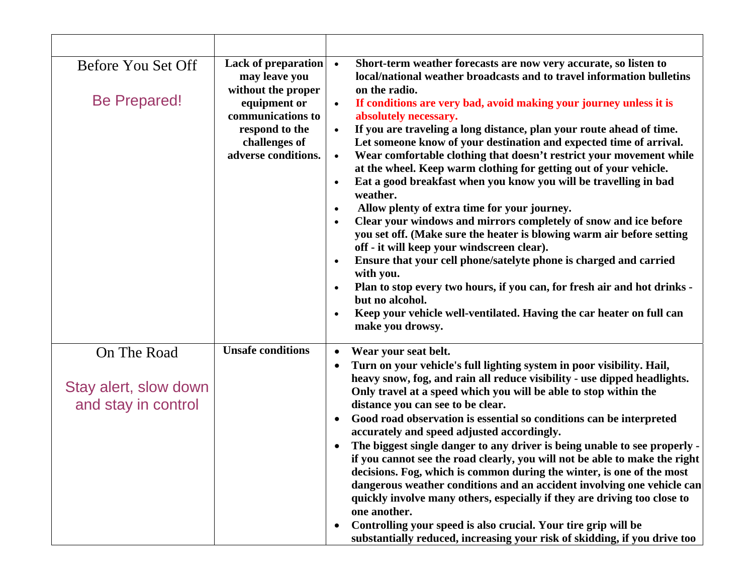| Before You Set Off<br><b>Be Prepared!</b>                   | Lack of preparation •<br>may leave you<br>without the proper<br>equipment or<br>communications to<br>respond to the<br>challenges of<br>adverse conditions. | Short-term weather forecasts are now very accurate, so listen to<br>local/national weather broadcasts and to travel information bulletins<br>on the radio.<br>If conditions are very bad, avoid making your journey unless it is<br>absolutely necessary.<br>If you are traveling a long distance, plan your route ahead of time.<br>$\bullet$<br>Let someone know of your destination and expected time of arrival.<br>Wear comfortable clothing that doesn't restrict your movement while<br>$\bullet$<br>at the wheel. Keep warm clothing for getting out of your vehicle.<br>Eat a good breakfast when you know you will be travelling in bad<br>$\bullet$<br>weather.<br>Allow plenty of extra time for your journey.<br>$\bullet$<br>Clear your windows and mirrors completely of snow and ice before<br>$\bullet$<br>you set off. (Make sure the heater is blowing warm air before setting<br>off - it will keep your windscreen clear).<br>Ensure that your cell phone/satelyte phone is charged and carried<br>$\bullet$<br>with you.<br>Plan to stop every two hours, if you can, for fresh air and hot drinks -<br>$\bullet$<br>but no alcohol.<br>Keep your vehicle well-ventilated. Having the car heater on full can<br>$\bullet$<br>make you drowsy. |
|-------------------------------------------------------------|-------------------------------------------------------------------------------------------------------------------------------------------------------------|---------------------------------------------------------------------------------------------------------------------------------------------------------------------------------------------------------------------------------------------------------------------------------------------------------------------------------------------------------------------------------------------------------------------------------------------------------------------------------------------------------------------------------------------------------------------------------------------------------------------------------------------------------------------------------------------------------------------------------------------------------------------------------------------------------------------------------------------------------------------------------------------------------------------------------------------------------------------------------------------------------------------------------------------------------------------------------------------------------------------------------------------------------------------------------------------------------------------------------------------------------------------|
| On The Road<br>Stay alert, slow down<br>and stay in control | <b>Unsafe conditions</b>                                                                                                                                    | Wear your seat belt.<br>$\bullet$<br>Turn on your vehicle's full lighting system in poor visibility. Hail,<br>$\bullet$<br>heavy snow, fog, and rain all reduce visibility - use dipped headlights.<br>Only travel at a speed which you will be able to stop within the<br>distance you can see to be clear.<br>Good road observation is essential so conditions can be interpreted<br>$\bullet$<br>accurately and speed adjusted accordingly.<br>The biggest single danger to any driver is being unable to see properly -<br>if you cannot see the road clearly, you will not be able to make the right<br>decisions. Fog, which is common during the winter, is one of the most<br>dangerous weather conditions and an accident involving one vehicle can<br>quickly involve many others, especially if they are driving too close to<br>one another.<br>Controlling your speed is also crucial. Your tire grip will be<br>$\bullet$<br>substantially reduced, increasing your risk of skidding, if you drive too                                                                                                                                                                                                                                                |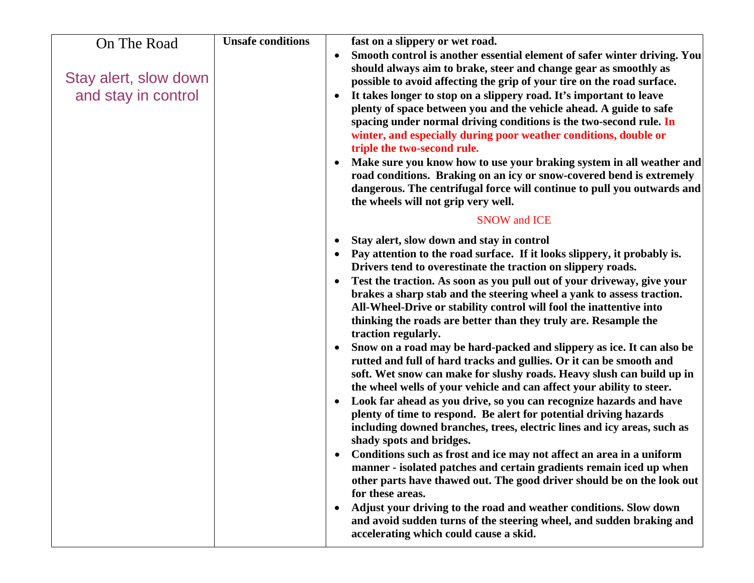| On The Road<br>Stay alert, slow down<br>and stay in control | <b>Unsafe conditions</b> | fast on a slippery or wet road.<br>Smooth control is another essential element of safer winter driving. You<br>$\bullet$<br>should always aim to brake, steer and change gear as smoothly as<br>possible to avoid affecting the grip of your tire on the road surface.<br>It takes longer to stop on a slippery road. It's important to leave<br>plenty of space between you and the vehicle ahead. A guide to safe<br>spacing under normal driving conditions is the two-second rule. In<br>winter, and especially during poor weather conditions, double or<br>triple the two-second rule.<br>Make sure you know how to use your braking system in all weather and<br>road conditions. Braking on an icy or snow-covered bend is extremely<br>dangerous. The centrifugal force will continue to pull you outwards and<br>the wheels will not grip very well.                                                                                                                                                                                                                                                                                                                                                                                                                                                                                                                                                                                                                                                 |  |
|-------------------------------------------------------------|--------------------------|----------------------------------------------------------------------------------------------------------------------------------------------------------------------------------------------------------------------------------------------------------------------------------------------------------------------------------------------------------------------------------------------------------------------------------------------------------------------------------------------------------------------------------------------------------------------------------------------------------------------------------------------------------------------------------------------------------------------------------------------------------------------------------------------------------------------------------------------------------------------------------------------------------------------------------------------------------------------------------------------------------------------------------------------------------------------------------------------------------------------------------------------------------------------------------------------------------------------------------------------------------------------------------------------------------------------------------------------------------------------------------------------------------------------------------------------------------------------------------------------------------------|--|
|                                                             |                          | <b>SNOW and ICE</b>                                                                                                                                                                                                                                                                                                                                                                                                                                                                                                                                                                                                                                                                                                                                                                                                                                                                                                                                                                                                                                                                                                                                                                                                                                                                                                                                                                                                                                                                                            |  |
|                                                             |                          | Stay alert, slow down and stay in control<br>Pay attention to the road surface. If it looks slippery, it probably is.<br>Drivers tend to overestinate the traction on slippery roads.<br>Test the traction. As soon as you pull out of your driveway, give your<br>brakes a sharp stab and the steering wheel a yank to assess traction.<br>All-Wheel-Drive or stability control will fool the inattentive into<br>thinking the roads are better than they truly are. Resample the<br>traction regularly.<br>Snow on a road may be hard-packed and slippery as ice. It can also be<br>$\bullet$<br>rutted and full of hard tracks and gullies. Or it can be smooth and<br>soft. Wet snow can make for slushy roads. Heavy slush can build up in<br>the wheel wells of your vehicle and can affect your ability to steer.<br>Look far ahead as you drive, so you can recognize hazards and have<br>plenty of time to respond. Be alert for potential driving hazards<br>including downed branches, trees, electric lines and icy areas, such as<br>shady spots and bridges.<br>Conditions such as frost and ice may not affect an area in a uniform<br>manner - isolated patches and certain gradients remain iced up when<br>other parts have thawed out. The good driver should be on the look out<br>for these areas.<br>Adjust your driving to the road and weather conditions. Slow down<br>and avoid sudden turns of the steering wheel, and sudden braking and<br>accelerating which could cause a skid. |  |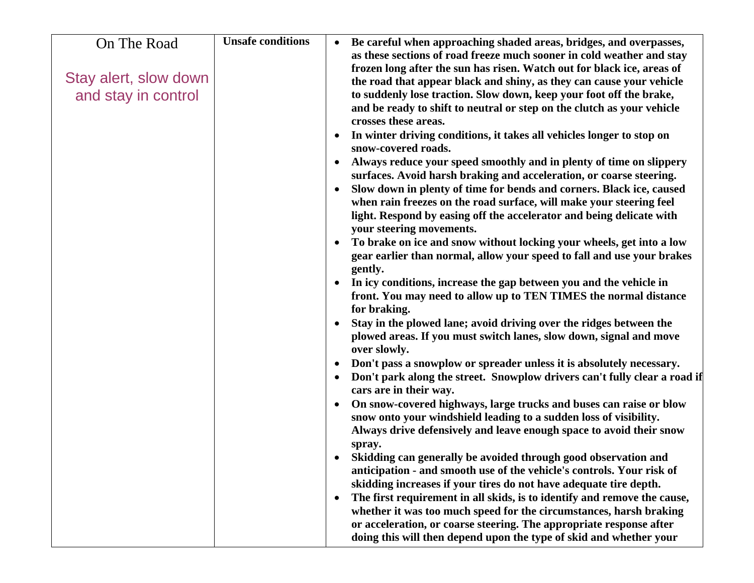| On The Road           | <b>Unsafe conditions</b> | Be careful when approaching shaded areas, bridges, and overpasses,<br>as these sections of road freeze much sooner in cold weather and stay                                                                                                                                                              |
|-----------------------|--------------------------|----------------------------------------------------------------------------------------------------------------------------------------------------------------------------------------------------------------------------------------------------------------------------------------------------------|
|                       |                          | frozen long after the sun has risen. Watch out for black ice, areas of                                                                                                                                                                                                                                   |
| Stay alert, slow down |                          | the road that appear black and shiny, as they can cause your vehicle<br>to suddenly lose traction. Slow down, keep your foot off the brake,                                                                                                                                                              |
| and stay in control   |                          | and be ready to shift to neutral or step on the clutch as your vehicle<br>crosses these areas.                                                                                                                                                                                                           |
|                       |                          | In winter driving conditions, it takes all vehicles longer to stop on<br>snow-covered roads.                                                                                                                                                                                                             |
|                       |                          | Always reduce your speed smoothly and in plenty of time on slippery<br>surfaces. Avoid harsh braking and acceleration, or coarse steering.                                                                                                                                                               |
|                       |                          | Slow down in plenty of time for bends and corners. Black ice, caused<br>$\bullet$<br>when rain freezes on the road surface, will make your steering feel<br>light. Respond by easing off the accelerator and being delicate with<br>your steering movements.                                             |
|                       |                          | To brake on ice and snow without locking your wheels, get into a low<br>$\bullet$<br>gear earlier than normal, allow your speed to fall and use your brakes<br>gently.                                                                                                                                   |
|                       |                          | In icy conditions, increase the gap between you and the vehicle in<br>front. You may need to allow up to TEN TIMES the normal distance<br>for braking.                                                                                                                                                   |
|                       |                          | Stay in the plowed lane; avoid driving over the ridges between the<br>plowed areas. If you must switch lanes, slow down, signal and move<br>over slowly.                                                                                                                                                 |
|                       |                          | Don't pass a snowplow or spreader unless it is absolutely necessary.<br>Don't park along the street. Snowplow drivers can't fully clear a road if<br>$\bullet$<br>cars are in their way.                                                                                                                 |
|                       |                          | On snow-covered highways, large trucks and buses can raise or blow<br>$\bullet$<br>snow onto your windshield leading to a sudden loss of visibility.<br>Always drive defensively and leave enough space to avoid their snow<br>spray.                                                                    |
|                       |                          | Skidding can generally be avoided through good observation and<br>anticipation - and smooth use of the vehicle's controls. Your risk of<br>skidding increases if your tires do not have adequate tire depth.                                                                                             |
|                       |                          | The first requirement in all skids, is to identify and remove the cause,<br>$\bullet$<br>whether it was too much speed for the circumstances, harsh braking<br>or acceleration, or coarse steering. The appropriate response after<br>doing this will then depend upon the type of skid and whether your |
|                       |                          |                                                                                                                                                                                                                                                                                                          |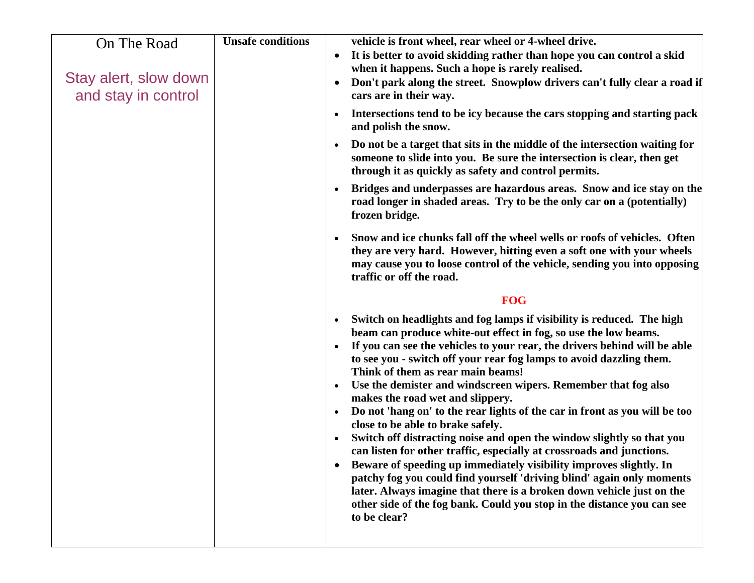| <b>Unsafe conditions</b><br>On The Road<br>$\bullet$<br>Stay alert, slow down<br>$\bullet$<br>and stay in control<br>cars are in their way.<br>$\bullet$<br>and polish the snow.<br>$\bullet$<br>frozen bridge.<br>traffic or off the road.<br>$\bullet$<br>$\bullet$<br>$\bullet$<br>$\bullet$<br>to be clear? | vehicle is front wheel, rear wheel or 4-wheel drive.<br>It is better to avoid skidding rather than hope you can control a skid<br>when it happens. Such a hope is rarely realised.<br>Don't park along the street. Snowplow drivers can't fully clear a road if<br>Intersections tend to be icy because the cars stopping and starting pack<br>Do not be a target that sits in the middle of the intersection waiting for<br>someone to slide into you. Be sure the intersection is clear, then get<br>through it as quickly as safety and control permits.<br>Bridges and underpasses are hazardous areas. Snow and ice stay on the<br>road longer in shaded areas. Try to be the only car on a (potentially)<br>Snow and ice chunks fall off the wheel wells or roofs of vehicles. Often<br>they are very hard. However, hitting even a soft one with your wheels<br>may cause you to loose control of the vehicle, sending you into opposing<br><b>FOG</b><br>Switch on headlights and fog lamps if visibility is reduced. The high<br>beam can produce white-out effect in fog, so use the low beams.<br>If you can see the vehicles to your rear, the drivers behind will be able<br>to see you - switch off your rear fog lamps to avoid dazzling them.<br>Think of them as rear main beams!<br>Use the demister and windscreen wipers. Remember that fog also<br>makes the road wet and slippery.<br>Do not 'hang on' to the rear lights of the car in front as you will be too<br>close to be able to brake safely.<br>Switch off distracting noise and open the window slightly so that you<br>can listen for other traffic, especially at crossroads and junctions.<br>Beware of speeding up immediately visibility improves slightly. In<br>patchy fog you could find yourself 'driving blind' again only moments<br>later. Always imagine that there is a broken down vehicle just on the<br>other side of the fog bank. Could you stop in the distance you can see |
|-----------------------------------------------------------------------------------------------------------------------------------------------------------------------------------------------------------------------------------------------------------------------------------------------------------------|---------------------------------------------------------------------------------------------------------------------------------------------------------------------------------------------------------------------------------------------------------------------------------------------------------------------------------------------------------------------------------------------------------------------------------------------------------------------------------------------------------------------------------------------------------------------------------------------------------------------------------------------------------------------------------------------------------------------------------------------------------------------------------------------------------------------------------------------------------------------------------------------------------------------------------------------------------------------------------------------------------------------------------------------------------------------------------------------------------------------------------------------------------------------------------------------------------------------------------------------------------------------------------------------------------------------------------------------------------------------------------------------------------------------------------------------------------------------------------------------------------------------------------------------------------------------------------------------------------------------------------------------------------------------------------------------------------------------------------------------------------------------------------------------------------------------------------------------------------------------------------------------------------------------------------------------------------------------------------|
|-----------------------------------------------------------------------------------------------------------------------------------------------------------------------------------------------------------------------------------------------------------------------------------------------------------------|---------------------------------------------------------------------------------------------------------------------------------------------------------------------------------------------------------------------------------------------------------------------------------------------------------------------------------------------------------------------------------------------------------------------------------------------------------------------------------------------------------------------------------------------------------------------------------------------------------------------------------------------------------------------------------------------------------------------------------------------------------------------------------------------------------------------------------------------------------------------------------------------------------------------------------------------------------------------------------------------------------------------------------------------------------------------------------------------------------------------------------------------------------------------------------------------------------------------------------------------------------------------------------------------------------------------------------------------------------------------------------------------------------------------------------------------------------------------------------------------------------------------------------------------------------------------------------------------------------------------------------------------------------------------------------------------------------------------------------------------------------------------------------------------------------------------------------------------------------------------------------------------------------------------------------------------------------------------------------|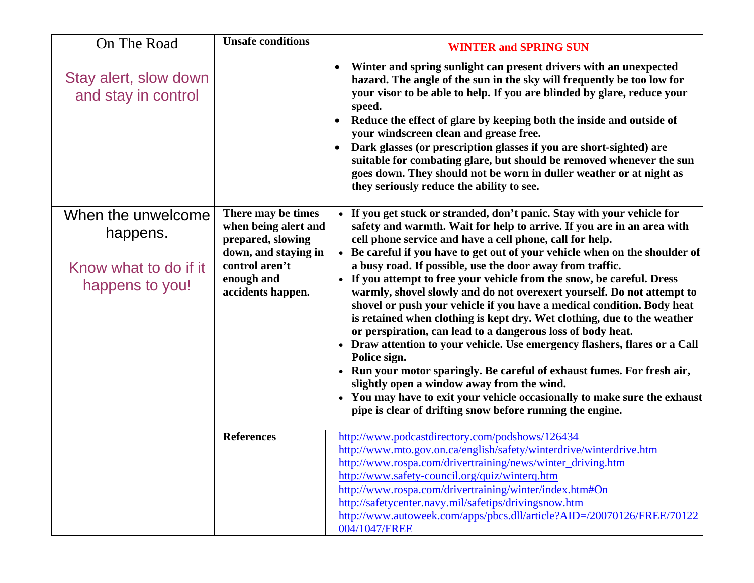| On The Road                                                                | <b>Unsafe conditions</b>                                                                                                                     | <b>WINTER and SPRING SUN</b>                                                                                                                                                                                                                                                                                                                                                                                                                                                                                                                                                                                                                                                                                                                                                                                                                                                                                                                                                                                                                                                                       |
|----------------------------------------------------------------------------|----------------------------------------------------------------------------------------------------------------------------------------------|----------------------------------------------------------------------------------------------------------------------------------------------------------------------------------------------------------------------------------------------------------------------------------------------------------------------------------------------------------------------------------------------------------------------------------------------------------------------------------------------------------------------------------------------------------------------------------------------------------------------------------------------------------------------------------------------------------------------------------------------------------------------------------------------------------------------------------------------------------------------------------------------------------------------------------------------------------------------------------------------------------------------------------------------------------------------------------------------------|
| Stay alert, slow down<br>and stay in control                               |                                                                                                                                              | Winter and spring sunlight can present drivers with an unexpected<br>$\bullet$<br>hazard. The angle of the sun in the sky will frequently be too low for<br>your visor to be able to help. If you are blinded by glare, reduce your<br>speed.<br>Reduce the effect of glare by keeping both the inside and outside of<br>$\bullet$<br>your windscreen clean and grease free.<br>Dark glasses (or prescription glasses if you are short-sighted) are<br>suitable for combating glare, but should be removed whenever the sun<br>goes down. They should not be worn in duller weather or at night as<br>they seriously reduce the ability to see.                                                                                                                                                                                                                                                                                                                                                                                                                                                    |
| When the unwelcome<br>happens.<br>Know what to do if it<br>happens to you! | There may be times<br>when being alert and<br>prepared, slowing<br>down, and staying in<br>control aren't<br>enough and<br>accidents happen. | • If you get stuck or stranded, don't panic. Stay with your vehicle for<br>safety and warmth. Wait for help to arrive. If you are in an area with<br>cell phone service and have a cell phone, call for help.<br>• Be careful if you have to get out of your vehicle when on the shoulder of<br>a busy road. If possible, use the door away from traffic.<br>• If you attempt to free your vehicle from the snow, be careful. Dress<br>warmly, shovel slowly and do not overexert yourself. Do not attempt to<br>shovel or push your vehicle if you have a medical condition. Body heat<br>is retained when clothing is kept dry. Wet clothing, due to the weather<br>or perspiration, can lead to a dangerous loss of body heat.<br>• Draw attention to your vehicle. Use emergency flashers, flares or a Call<br>Police sign.<br>• Run your motor sparingly. Be careful of exhaust fumes. For fresh air,<br>slightly open a window away from the wind.<br>• You may have to exit your vehicle occasionally to make sure the exhaust<br>pipe is clear of drifting snow before running the engine. |
|                                                                            | <b>References</b>                                                                                                                            | http://www.podcastdirectory.com/podshows/126434<br>http://www.mto.gov.on.ca/english/safety/winterdrive/winterdrive.htm<br>http://www.rospa.com/drivertraining/news/winter_driving.htm<br>http://www.safety-council.org/quiz/winterq.htm<br>http://www.rospa.com/drivertraining/winter/index.htm#On<br>http://safetycenter.navy.mil/safetips/drivingsnow.htm<br>http://www.autoweek.com/apps/pbcs.dll/article?AID=/20070126/FREE/70122<br>004/1047/FREE                                                                                                                                                                                                                                                                                                                                                                                                                                                                                                                                                                                                                                             |